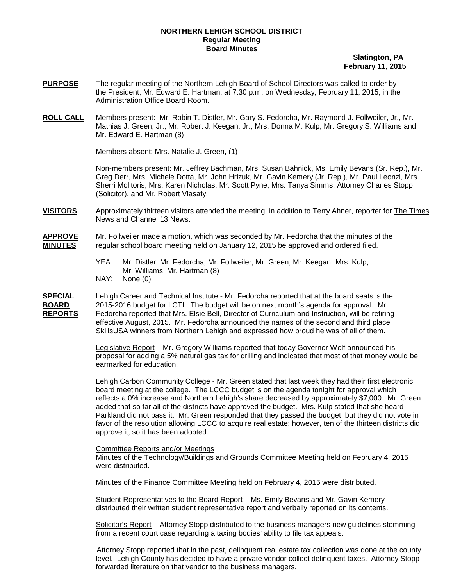## **NORTHERN LEHIGH SCHOOL DISTRICT Regular Meeting Board Minutes**

 **Slatington, PA February 11, 2015**

- **PURPOSE** The regular meeting of the Northern Lehigh Board of School Directors was called to order by the President, Mr. Edward E. Hartman, at 7:30 p.m. on Wednesday, February 11, 2015, in the Administration Office Board Room.
- **ROLL CALL** Members present: Mr. Robin T. Distler, Mr. Gary S. Fedorcha, Mr. Raymond J. Follweiler, Jr., Mr. Mathias J. Green, Jr., Mr. Robert J. Keegan, Jr., Mrs. Donna M. Kulp, Mr. Gregory S. Williams and Mr. Edward E. Hartman (8)

Members absent: Mrs. Natalie J. Green, (1)

Non-members present: Mr. Jeffrey Bachman, Mrs. Susan Bahnick, Ms. Emily Bevans (Sr. Rep.), Mr. Greg Derr, Mrs. Michele Dotta, Mr. John Hrizuk, Mr. Gavin Kemery (Jr. Rep.), Mr. Paul Leonzi, Mrs. Sherri Molitoris, Mrs. Karen Nicholas, Mr. Scott Pyne, Mrs. Tanya Simms, Attorney Charles Stopp (Solicitor), and Mr. Robert Vlasaty.

**VISITORS** Approximately thirteen visitors attended the meeting, in addition to Terry Ahner, reporter for The Times News and Channel 13 News.

**APPROVE** Mr. Follweiler made a motion, which was seconded by Mr. Fedorcha that the minutes of the **MINUTES** regular school board meeting held on January 12, 2015 be approved and ordered filed.

- YEA: Mr. Distler, Mr. Fedorcha, Mr. Follweiler, Mr. Green, Mr. Keegan, Mrs. Kulp, Mr. Williams, Mr. Hartman (8)
- NAY: None (0)

**SPECIAL** Lehigh Career and Technical Institute - Mr. Fedorcha reported that at the board seats is the **BOARD** 2015-2016 budget for LCTI. The budget will be on next month's agenda for approval. Mr.<br>**REPORTS** Fedorcha reported that Mrs. Elsie Bell, Director of Curriculum and Instruction, will be retirin Fedorcha reported that Mrs. Elsie Bell, Director of Curriculum and Instruction, will be retiring effective August, 2015. Mr. Fedorcha announced the names of the second and third place SkillsUSA winners from Northern Lehigh and expressed how proud he was of all of them.

> Legislative Report – Mr. Gregory Williams reported that today Governor Wolf announced his proposal for adding a 5% natural gas tax for drilling and indicated that most of that money would be earmarked for education.

Lehigh Carbon Community College - Mr. Green stated that last week they had their first electronic board meeting at the college. The LCCC budget is on the agenda tonight for approval which reflects a 0% increase and Northern Lehigh's share decreased by approximately \$7,000. Mr. Green added that so far all of the districts have approved the budget. Mrs. Kulp stated that she heard Parkland did not pass it. Mr. Green responded that they passed the budget, but they did not vote in favor of the resolution allowing LCCC to acquire real estate; however, ten of the thirteen districts did approve it, so it has been adopted.

Committee Reports and/or Meetings

Minutes of the Technology/Buildings and Grounds Committee Meeting held on February 4, 2015 were distributed.

Minutes of the Finance Committee Meeting held on February 4, 2015 were distributed.

Student Representatives to the Board Report – Ms. Emily Bevans and Mr. Gavin Kemery distributed their written student representative report and verbally reported on its contents.

<u>Solicitor's Report</u> – Attorney Stopp distributed to the business managers new guidelines stemming from a recent court case regarding a taxing bodies' ability to file tax appeals.

 Attorney Stopp reported that in the past, delinquent real estate tax collection was done at the county level. Lehigh County has decided to have a private vendor collect delinquent taxes. Attorney Stopp forwarded literature on that vendor to the business managers.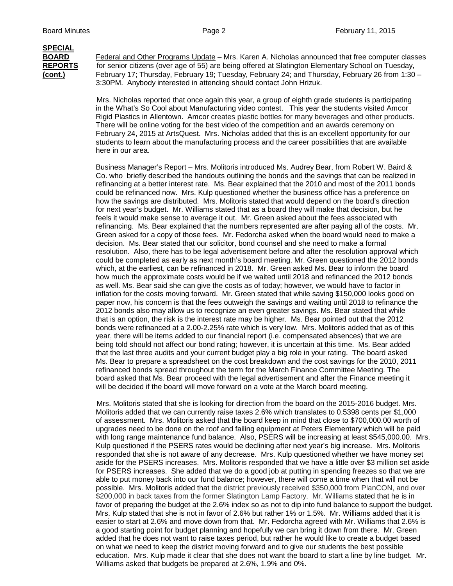## **SPECIAL**

**BOARD** Federal and Other Programs Update – Mrs. Karen A. Nicholas announced that free computer classes **REPORTS** for senior citizens (over age of 55) are being offered at Slatington Elementary School on Tuesday, **(cont.)** February 17; Thursday, February 19; Tuesday, February 24; and Thursday, February 26 from 1:30 – 3:30PM. Anybody interested in attending should contact John Hrizuk.

> Mrs. Nicholas reported that once again this year, a group of eighth grade students is participating in the What's So Cool about Manufacturing video contest. This year the students visited Amcor Rigid Plastics in Allentown. Amcor creates plastic bottles for many beverages and other products. There will be online voting for the best video of the competition and an awards ceremony on February 24, 2015 at ArtsQuest. Mrs. Nicholas added that this is an excellent opportunity for our students to learn about the manufacturing process and the career possibilities that are available here in our area.

Business Manager's Report – Mrs. Molitoris introduced Ms. Audrey Bear, from Robert W. Baird & Co. who briefly described the handouts outlining the bonds and the savings that can be realized in refinancing at a better interest rate. Ms. Bear explained that the 2010 and most of the 2011 bonds could be refinanced now. Mrs. Kulp questioned whether the business office has a preference on how the savings are distributed. Mrs. Molitoris stated that would depend on the board's direction for next year's budget. Mr. Williams stated that as a board they will make that decision, but he feels it would make sense to average it out. Mr. Green asked about the fees associated with refinancing. Ms. Bear explained that the numbers represented are after paying all of the costs. Mr. Green asked for a copy of those fees. Mr. Fedorcha asked when the board would need to make a decision. Ms. Bear stated that our solicitor, bond counsel and she need to make a formal resolution. Also, there has to be legal advertisement before and after the resolution approval which could be completed as early as next month's board meeting. Mr. Green questioned the 2012 bonds which, at the earliest, can be refinanced in 2018. Mr. Green asked Ms. Bear to inform the board how much the approximate costs would be if we waited until 2018 and refinanced the 2012 bonds as well. Ms. Bear said she can give the costs as of today; however, we would have to factor in inflation for the costs moving forward. Mr. Green stated that while saving \$150,000 looks good on paper now, his concern is that the fees outweigh the savings and waiting until 2018 to refinance the 2012 bonds also may allow us to recognize an even greater savings. Ms. Bear stated that while that is an option, the risk is the interest rate may be higher. Ms. Bear pointed out that the 2012 bonds were refinanced at a 2.00-2.25% rate which is very low. Mrs. Molitoris added that as of this year, there will be items added to our financial report (i.e. compensated absences) that we are being told should not affect our bond rating; however, it is uncertain at this time. Ms. Bear added that the last three audits and your current budget play a big role in your rating. The board asked Ms. Bear to prepare a spreadsheet on the cost breakdown and the cost savings for the 2010, 2011 refinanced bonds spread throughout the term for the March Finance Committee Meeting. The board asked that Ms. Bear proceed with the legal advertisement and after the Finance meeting it will be decided if the board will move forward on a vote at the March board meeting.

 Mrs. Molitoris stated that she is looking for direction from the board on the 2015-2016 budget. Mrs. Molitoris added that we can currently raise taxes 2.6% which translates to 0.5398 cents per \$1,000 of assessment. Mrs. Molitoris asked that the board keep in mind that close to \$700,000.00 worth of upgrades need to be done on the roof and failing equipment at Peters Elementary which will be paid with long range maintenance fund balance. Also, PSERS will be increasing at least \$545,000.00. Mrs. Kulp questioned if the PSERS rates would be declining after next year's big increase. Mrs. Molitoris responded that she is not aware of any decrease. Mrs. Kulp questioned whether we have money set aside for the PSERS increases. Mrs. Molitoris responded that we have a little over \$3 million set aside for PSERS increases. She added that we do a good job at putting in spending freezes so that we are able to put money back into our fund balance; however, there will come a time when that will not be possible. Mrs. Molitoris added that the district previously received \$350,000 from PlanCON, and over \$200,000 in back taxes from the former Slatington Lamp Factory. Mr. Williams stated that he is in favor of preparing the budget at the 2.6% index so as not to dip into fund balance to support the budget. Mrs. Kulp stated that she is not in favor of 2.6% but rather 1% or 1.5%. Mr. Williams added that it is easier to start at 2.6% and move down from that. Mr. Fedorcha agreed with Mr. Williams that 2.6% is a good starting point for budget planning and hopefully we can bring it down from there. Mr. Green added that he does not want to raise taxes period, but rather he would like to create a budget based on what we need to keep the district moving forward and to give our students the best possible education. Mrs. Kulp made it clear that she does not want the board to start a line by line budget. Mr. Williams asked that budgets be prepared at 2.6%, 1.9% and 0%.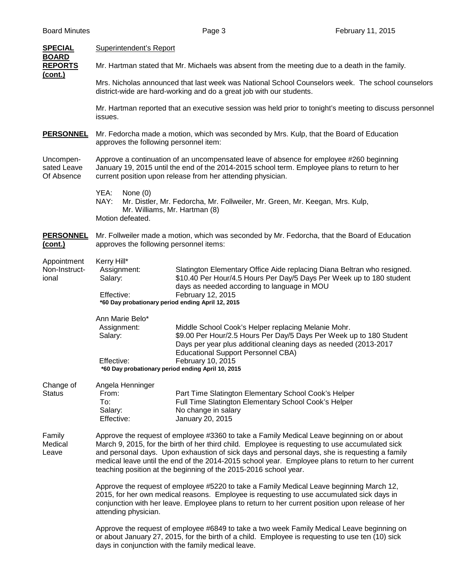| <b>SPECIAL</b><br><b>BOARD</b>         | Superintendent's Report                                                                                                                                                                                                                                                                                                                                                                                                                                                 |                                                                                                                                                                                                                                                                  |  |  |
|----------------------------------------|-------------------------------------------------------------------------------------------------------------------------------------------------------------------------------------------------------------------------------------------------------------------------------------------------------------------------------------------------------------------------------------------------------------------------------------------------------------------------|------------------------------------------------------------------------------------------------------------------------------------------------------------------------------------------------------------------------------------------------------------------|--|--|
| <b>REPORTS</b>                         | Mr. Hartman stated that Mr. Michaels was absent from the meeting due to a death in the family.                                                                                                                                                                                                                                                                                                                                                                          |                                                                                                                                                                                                                                                                  |  |  |
| <u>(cont.)</u>                         | Mrs. Nicholas announced that last week was National School Counselors week. The school counselors<br>district-wide are hard-working and do a great job with our students.                                                                                                                                                                                                                                                                                               |                                                                                                                                                                                                                                                                  |  |  |
|                                        | Mr. Hartman reported that an executive session was held prior to tonight's meeting to discuss personnel<br>issues.                                                                                                                                                                                                                                                                                                                                                      |                                                                                                                                                                                                                                                                  |  |  |
| <b>PERSONNEL</b>                       | Mr. Fedorcha made a motion, which was seconded by Mrs. Kulp, that the Board of Education<br>approves the following personnel item:                                                                                                                                                                                                                                                                                                                                      |                                                                                                                                                                                                                                                                  |  |  |
| Uncompen-<br>sated Leave<br>Of Absence | Approve a continuation of an uncompensated leave of absence for employee #260 beginning<br>January 19, 2015 until the end of the 2014-2015 school term. Employee plans to return to her<br>current position upon release from her attending physician.                                                                                                                                                                                                                  |                                                                                                                                                                                                                                                                  |  |  |
|                                        | YEA:<br>None $(0)$<br>NAY:<br>Mr. Distler, Mr. Fedorcha, Mr. Follweiler, Mr. Green, Mr. Keegan, Mrs. Kulp,<br>Mr. Williams, Mr. Hartman (8)<br>Motion defeated.                                                                                                                                                                                                                                                                                                         |                                                                                                                                                                                                                                                                  |  |  |
| <b>PERSONNEL</b><br>(cont.)            | Mr. Follweiler made a motion, which was seconded by Mr. Fedorcha, that the Board of Education<br>approves the following personnel items:                                                                                                                                                                                                                                                                                                                                |                                                                                                                                                                                                                                                                  |  |  |
| Appointment<br>Non-Instruct-<br>ional  | Kerry Hill*<br>Assignment:<br>Salary:<br>Effective:<br>*60 Day probationary period ending April 12, 2015                                                                                                                                                                                                                                                                                                                                                                | Slatington Elementary Office Aide replacing Diana Beltran who resigned.<br>\$10.40 Per Hour/4.5 Hours Per Day/5 Days Per Week up to 180 student<br>days as needed according to language in MOU<br>February 12, 2015                                              |  |  |
|                                        | Ann Marie Belo*<br>Assignment:<br>Salary:<br>Effective:<br>*60 Day probationary period ending April 10, 2015                                                                                                                                                                                                                                                                                                                                                            | Middle School Cook's Helper replacing Melanie Mohr.<br>\$9.00 Per Hour/2.5 Hours Per Day/5 Days Per Week up to 180 Student<br>Days per year plus additional cleaning days as needed (2013-2017<br><b>Educational Support Personnel CBA)</b><br>February 10, 2015 |  |  |
| Change of<br><b>Status</b>             | Angela Henninger<br>From:<br>To:<br>Salary:<br>Effective:                                                                                                                                                                                                                                                                                                                                                                                                               | Part Time Slatington Elementary School Cook's Helper<br>Full Time Slatington Elementary School Cook's Helper<br>No change in salary<br>January 20, 2015                                                                                                          |  |  |
| Family<br>Medical<br>Leave             | Approve the request of employee #3360 to take a Family Medical Leave beginning on or about<br>March 9, 2015, for the birth of her third child. Employee is requesting to use accumulated sick<br>and personal days. Upon exhaustion of sick days and personal days, she is requesting a family<br>medical leave until the end of the 2014-2015 school year. Employee plans to return to her current<br>teaching position at the beginning of the 2015-2016 school year. |                                                                                                                                                                                                                                                                  |  |  |
|                                        | Approve the request of employee #5220 to take a Family Medical Leave beginning March 12,<br>2015, for her own medical reasons. Employee is requesting to use accumulated sick days in<br>conjunction with her leave. Employee plans to return to her current position upon release of her<br>attending physician.                                                                                                                                                       |                                                                                                                                                                                                                                                                  |  |  |
|                                        | Approve the request of employee #6849 to take a two week Family Medical Leave beginning on<br>or about January 27, 2015, for the birth of a child. Employee is requesting to use ten (10) sick<br>days in conjunction with the family medical leave.                                                                                                                                                                                                                    |                                                                                                                                                                                                                                                                  |  |  |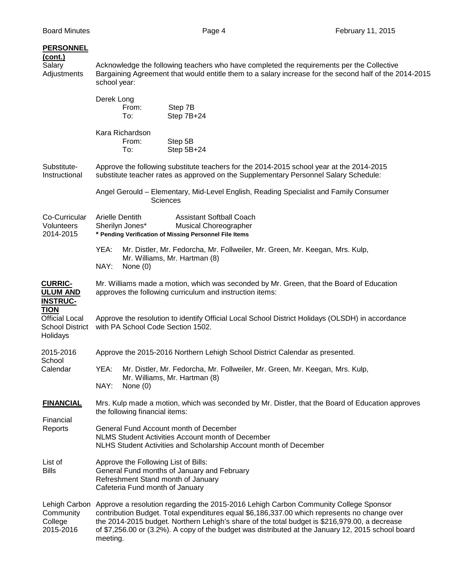| <b>PERSONNEL</b><br>$($ cont. $)$<br>Salary<br>Adjustments                 | Acknowledge the following teachers who have completed the requirements per the Collective<br>Bargaining Agreement that would entitle them to a salary increase for the second half of the 2014-2015<br>school year:                                                                                                                                                                                     |                                 |                                                                                                                           |  |  |
|----------------------------------------------------------------------------|---------------------------------------------------------------------------------------------------------------------------------------------------------------------------------------------------------------------------------------------------------------------------------------------------------------------------------------------------------------------------------------------------------|---------------------------------|---------------------------------------------------------------------------------------------------------------------------|--|--|
|                                                                            | Derek Long                                                                                                                                                                                                                                                                                                                                                                                              | From:<br>To:                    | Step 7B<br>Step 7B+24                                                                                                     |  |  |
|                                                                            |                                                                                                                                                                                                                                                                                                                                                                                                         | Kara Richardson<br>From:<br>To: | Step 5B<br>Step 5B+24                                                                                                     |  |  |
| Substitute-<br>Instructional                                               | Approve the following substitute teachers for the 2014-2015 school year at the 2014-2015<br>substitute teacher rates as approved on the Supplementary Personnel Salary Schedule:                                                                                                                                                                                                                        |                                 |                                                                                                                           |  |  |
|                                                                            |                                                                                                                                                                                                                                                                                                                                                                                                         |                                 | Angel Gerould - Elementary, Mid-Level English, Reading Specialist and Family Consumer<br><b>Sciences</b>                  |  |  |
| Co-Curricular<br>Volunteers<br>2014-2015                                   | <b>Arielle Dentith</b>                                                                                                                                                                                                                                                                                                                                                                                  | Sherilyn Jones*                 | <b>Assistant Softball Coach</b><br><b>Musical Choreographer</b><br>* Pending Verification of Missing Personnel File Items |  |  |
|                                                                            | YEA:<br>NAY:                                                                                                                                                                                                                                                                                                                                                                                            | None $(0)$                      | Mr. Distler, Mr. Fedorcha, Mr. Follweiler, Mr. Green, Mr. Keegan, Mrs. Kulp,<br>Mr. Williams, Mr. Hartman (8)             |  |  |
| <b>CURRIC-</b><br><b>ULUM AND</b><br><b>INSTRUC-</b>                       | Mr. Williams made a motion, which was seconded by Mr. Green, that the Board of Education<br>approves the following curriculum and instruction items:                                                                                                                                                                                                                                                    |                                 |                                                                                                                           |  |  |
| <b>TION</b><br><b>Official Local</b><br><b>School District</b><br>Holidays | Approve the resolution to identify Official Local School District Holidays (OLSDH) in accordance<br>with PA School Code Section 1502.                                                                                                                                                                                                                                                                   |                                 |                                                                                                                           |  |  |
| 2015-2016                                                                  | Approve the 2015-2016 Northern Lehigh School District Calendar as presented.                                                                                                                                                                                                                                                                                                                            |                                 |                                                                                                                           |  |  |
| School<br>Calendar                                                         | YEA:<br>NAY:                                                                                                                                                                                                                                                                                                                                                                                            | None $(0)$                      | Mr. Distler, Mr. Fedorcha, Mr. Follweiler, Mr. Green, Mr. Keegan, Mrs. Kulp,<br>Mr. Williams, Mr. Hartman (8)             |  |  |
| <b>FINANCIAL</b>                                                           | Mrs. Kulp made a motion, which was seconded by Mr. Distler, that the Board of Education approves<br>the following financial items:                                                                                                                                                                                                                                                                      |                                 |                                                                                                                           |  |  |
| Financial<br>Reports                                                       | General Fund Account month of December<br>NLMS Student Activities Account month of December<br>NLHS Student Activities and Scholarship Account month of December                                                                                                                                                                                                                                        |                                 |                                                                                                                           |  |  |
| List of<br><b>Bills</b>                                                    | Approve the Following List of Bills:<br>General Fund months of January and February<br>Refreshment Stand month of January<br>Cafeteria Fund month of January                                                                                                                                                                                                                                            |                                 |                                                                                                                           |  |  |
| Lehigh Carbon<br>Community<br>College<br>2015-2016                         | Approve a resolution regarding the 2015-2016 Lehigh Carbon Community College Sponsor<br>contribution Budget. Total expenditures equal \$6,186,337.00 which represents no change over<br>the 2014-2015 budget. Northern Lehigh's share of the total budget is \$216,979.00, a decrease<br>of \$7,256.00 or (3.2%). A copy of the budget was distributed at the January 12, 2015 school board<br>meeting. |                                 |                                                                                                                           |  |  |